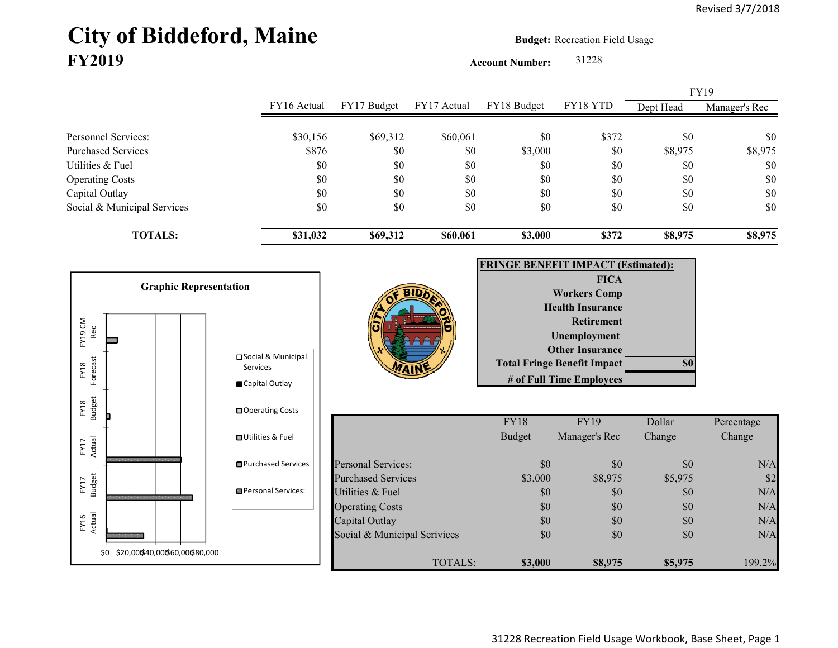## City of Biddeford, Maine **Budget:** Recreation Field Usage **FY2019**

**Account Number:** 31228

FY16 Actual FY17 Budget FY17 Actual FY18 Budget FY18 YTD Dept Head Manager's Rec Personnel Services: \$30,156 \$69,312 \$60,061 \$0 \$372 \$0 \$0 Purchased Services \$876 \$0 \$0 \$3,000 \$0 \$8,975 \$8,975 Utilities & Fuel \$0 \$0 \$0 \$0 \$0 \$0 \$0 Operating Costs \$0 \$0 \$0 \$0 \$0 \$0 Capital Outlay \$0 \$0 \$0 \$0 \$0 \$0 Social & Municipal Services \$0 \$0 \$0 \$0 \$0 \$0 \$0 **TOTALS: \$31,032 \$69,312 \$60,061 \$3,000 \$372 \$8,975 \$8,975** FY19

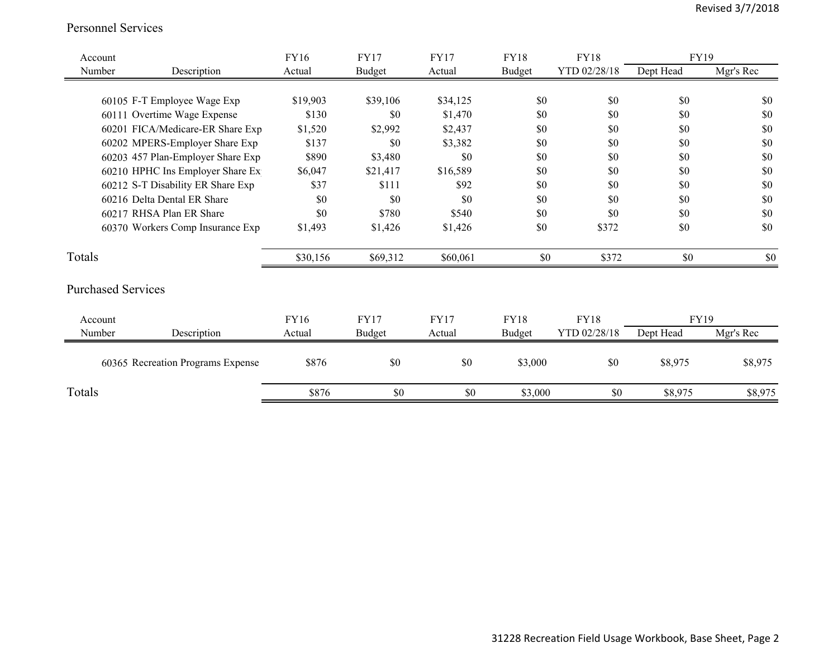## Personnel Services

| Account |                                   | <b>FY16</b> | <b>FY17</b>   | <b>FY17</b> | <b>FY18</b>   | <b>FY18</b>  | <b>FY19</b> |           |
|---------|-----------------------------------|-------------|---------------|-------------|---------------|--------------|-------------|-----------|
| Number  | Description                       | Actual      | <b>Budget</b> | Actual      | Budget        | YTD 02/28/18 | Dept Head   | Mgr's Rec |
|         |                                   |             |               |             |               |              |             |           |
|         | 60105 F-T Employee Wage Exp       | \$19,903    | \$39,106      | \$34,125    | \$0           | \$0          | \$0         | \$0       |
|         | 60111 Overtime Wage Expense       | \$130       | \$0           | \$1,470     | \$0           | \$0          | \$0         | \$0       |
|         | 60201 FICA/Medicare-ER Share Exp  | \$1,520     | \$2,992       | \$2,437     | \$0           | \$0          | \$0         | \$0       |
|         | 60202 MPERS-Employer Share Exp    | \$137       | \$0           | \$3,382     | \$0           | \$0          | \$0         | \$0       |
|         | 60203 457 Plan-Employer Share Exp | \$890       | \$3,480       | \$0         | \$0           | \$0          | \$0         | \$0       |
|         | 60210 HPHC Ins Employer Share Ex  | \$6,047     | \$21,417      | \$16,589    | \$0           | \$0          | \$0         | \$0       |
|         | 60212 S-T Disability ER Share Exp | \$37        | \$111         | \$92        | \$0           | \$0          | \$0         | \$0       |
|         | 60216 Delta Dental ER Share       | \$0         | \$0           | \$0         | \$0           | \$0          | \$0         | \$0       |
|         | 60217 RHSA Plan ER Share          | \$0         | \$780         | \$540       | \$0           | \$0          | \$0         | \$0       |
|         | 60370 Workers Comp Insurance Exp  | \$1,493     | \$1,426       | \$1,426     | \$0           | \$372        | \$0         | \$0       |
| Totals  |                                   | \$30,156    | \$69,312      | \$60,061    | \$0           | \$372        | \$0         | \$0       |
|         | <b>Purchased Services</b>         |             |               |             |               |              |             |           |
| Account |                                   | FY16        | <b>FY17</b>   | <b>FY17</b> | <b>FY18</b>   | <b>FY18</b>  | FY19        |           |
| Number  | Description                       | Actual      | <b>Budget</b> | Actual      | <b>Budget</b> | YTD 02/28/18 | Dept Head   | Mgr's Rec |
|         | 60365 Recreation Programs Expense | \$876       | \$0           | \$0         | \$3,000       | \$0          | \$8,975     | \$8,975   |
| Totals  |                                   | \$876       | \$0           | \$0         | \$3,000       | \$0          | \$8,975     | \$8,975   |